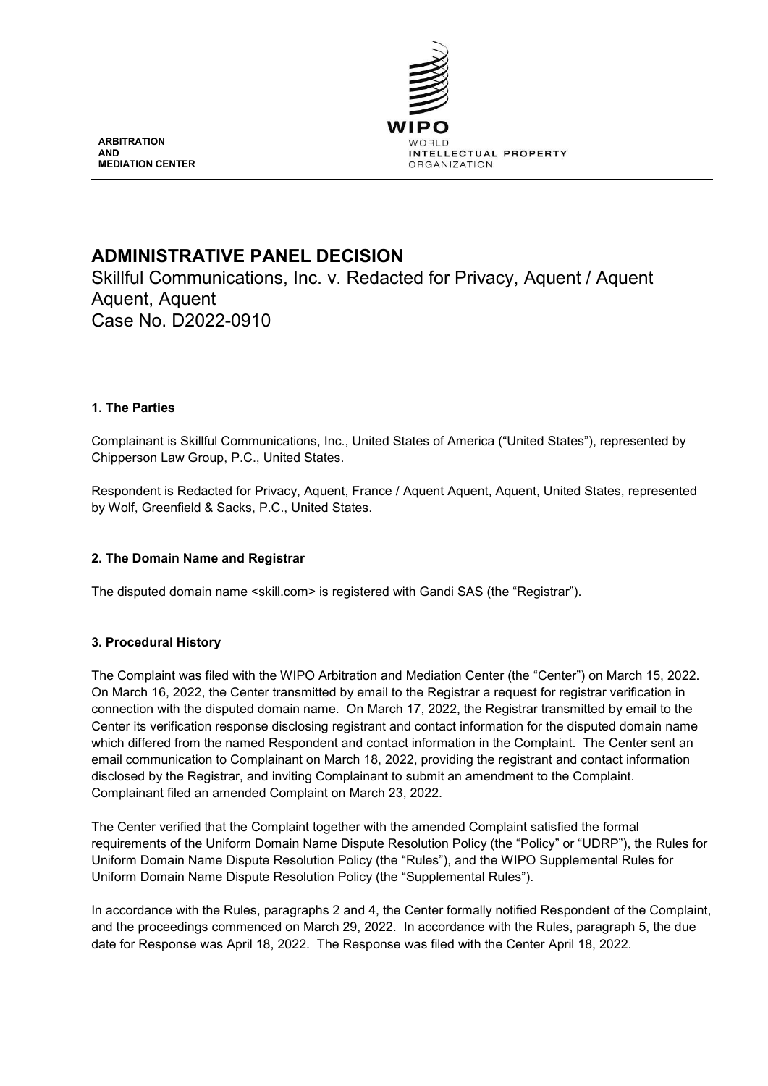

**ARBITRATION AND MEDIATION CENTER**

# **ADMINISTRATIVE PANEL DECISION**

Skillful Communications, Inc. v. Redacted for Privacy, Aquent / Aquent Aquent, Aquent Case No. D2022-0910

# **1. The Parties**

Complainant is Skillful Communications, Inc., United States of America ("United States"), represented by Chipperson Law Group, P.C., United States.

Respondent is Redacted for Privacy, Aquent, France / Aquent Aquent, Aquent, United States, represented by Wolf, Greenfield & Sacks, P.C., United States.

# **2. The Domain Name and Registrar**

The disputed domain name <skill.com> is registered with Gandi SAS (the "Registrar").

# **3. Procedural History**

The Complaint was filed with the WIPO Arbitration and Mediation Center (the "Center") on March 15, 2022. On March 16, 2022, the Center transmitted by email to the Registrar a request for registrar verification in connection with the disputed domain name. On March 17, 2022, the Registrar transmitted by email to the Center its verification response disclosing registrant and contact information for the disputed domain name which differed from the named Respondent and contact information in the Complaint. The Center sent an email communication to Complainant on March 18, 2022, providing the registrant and contact information disclosed by the Registrar, and inviting Complainant to submit an amendment to the Complaint. Complainant filed an amended Complaint on March 23, 2022.

The Center verified that the Complaint together with the amended Complaint satisfied the formal requirements of the Uniform Domain Name Dispute Resolution Policy (the "Policy" or "UDRP"), the Rules for Uniform Domain Name Dispute Resolution Policy (the "Rules"), and the WIPO Supplemental Rules for Uniform Domain Name Dispute Resolution Policy (the "Supplemental Rules").

In accordance with the Rules, paragraphs 2 and 4, the Center formally notified Respondent of the Complaint, and the proceedings commenced on March 29, 2022. In accordance with the Rules, paragraph 5, the due date for Response was April 18, 2022. The Response was filed with the Center April 18, 2022.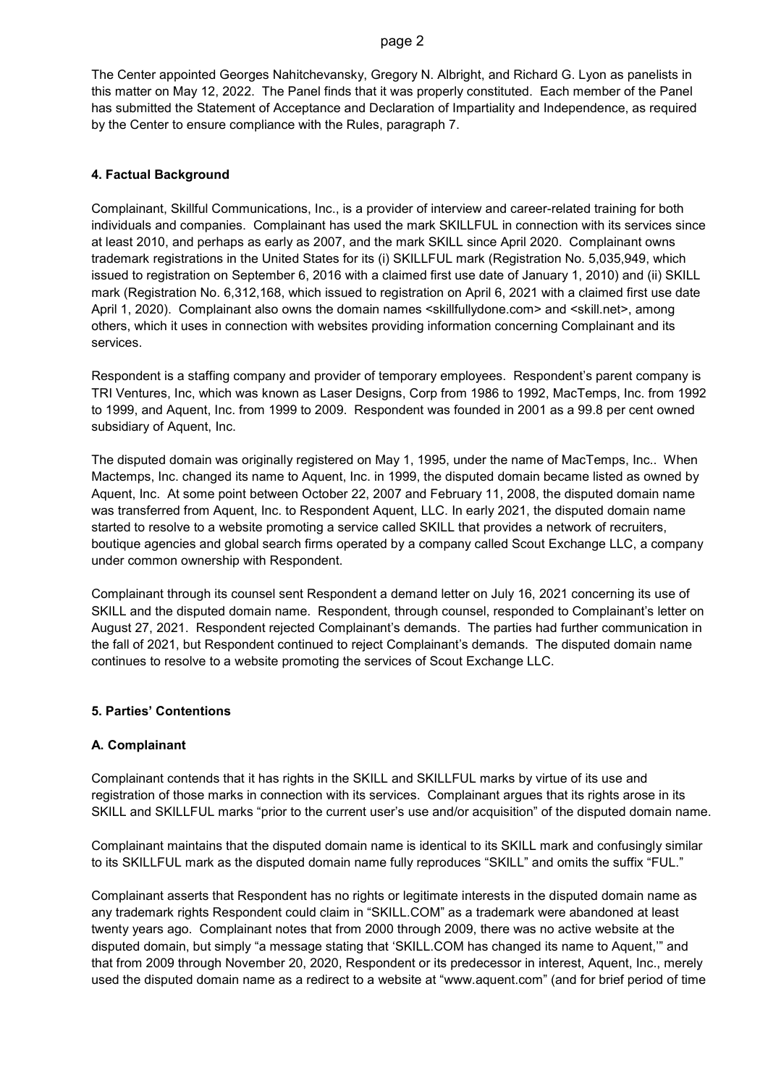#### page 2

The Center appointed Georges Nahitchevansky, Gregory N. Albright, and Richard G. Lyon as panelists in this matter on May 12, 2022. The Panel finds that it was properly constituted. Each member of the Panel has submitted the Statement of Acceptance and Declaration of Impartiality and Independence, as required by the Center to ensure compliance with the Rules, paragraph 7.

#### **4. Factual Background**

Complainant, Skillful Communications, Inc., is a provider of interview and career-related training for both individuals and companies. Complainant has used the mark SKILLFUL in connection with its services since at least 2010, and perhaps as early as 2007, and the mark SKILL since April 2020. Complainant owns trademark registrations in the United States for its (i) SKILLFUL mark (Registration No. 5,035,949, which issued to registration on September 6, 2016 with a claimed first use date of January 1, 2010) and (ii) SKILL mark (Registration No. 6,312,168, which issued to registration on April 6, 2021 with a claimed first use date April 1, 2020). Complainant also owns the domain names <skillfullydone.com> and <skill.net>, among others, which it uses in connection with websites providing information concerning Complainant and its services.

Respondent is a staffing company and provider of temporary employees. Respondent's parent company is TRI Ventures, Inc, which was known as Laser Designs, Corp from 1986 to 1992, MacTemps, Inc. from 1992 to 1999, and Aquent, Inc. from 1999 to 2009. Respondent was founded in 2001 as a 99.8 per cent owned subsidiary of Aquent, Inc.

The disputed domain was originally registered on May 1, 1995, under the name of MacTemps, Inc.. When Mactemps, Inc. changed its name to Aquent, Inc. in 1999, the disputed domain became listed as owned by Aquent, Inc. At some point between October 22, 2007 and February 11, 2008, the disputed domain name was transferred from Aquent, Inc. to Respondent Aquent, LLC. In early 2021, the disputed domain name started to resolve to a website promoting a service called SKILL that provides a network of recruiters, boutique agencies and global search firms operated by a company called Scout Exchange LLC, a company under common ownership with Respondent.

Complainant through its counsel sent Respondent a demand letter on July 16, 2021 concerning its use of SKILL and the disputed domain name. Respondent, through counsel, responded to Complainant's letter on August 27, 2021. Respondent rejected Complainant's demands. The parties had further communication in the fall of 2021, but Respondent continued to reject Complainant's demands. The disputed domain name continues to resolve to a website promoting the services of Scout Exchange LLC.

## **5. Parties' Contentions**

## **A. Complainant**

Complainant contends that it has rights in the SKILL and SKILLFUL marks by virtue of its use and registration of those marks in connection with its services. Complainant argues that its rights arose in its SKILL and SKILLFUL marks "prior to the current user's use and/or acquisition" of the disputed domain name.

Complainant maintains that the disputed domain name is identical to its SKILL mark and confusingly similar to its SKILLFUL mark as the disputed domain name fully reproduces "SKILL" and omits the suffix "FUL."

Complainant asserts that Respondent has no rights or legitimate interests in the disputed domain name as any trademark rights Respondent could claim in "SKILL.COM" as a trademark were abandoned at least twenty years ago. Complainant notes that from 2000 through 2009, there was no active website at the disputed domain, but simply "a message stating that 'SKILL.COM has changed its name to Aquent,'" and that from 2009 through November 20, 2020, Respondent or its predecessor in interest, Aquent, Inc., merely used the disputed domain name as a redirect to a website at "www.aquent.com" (and for brief period of time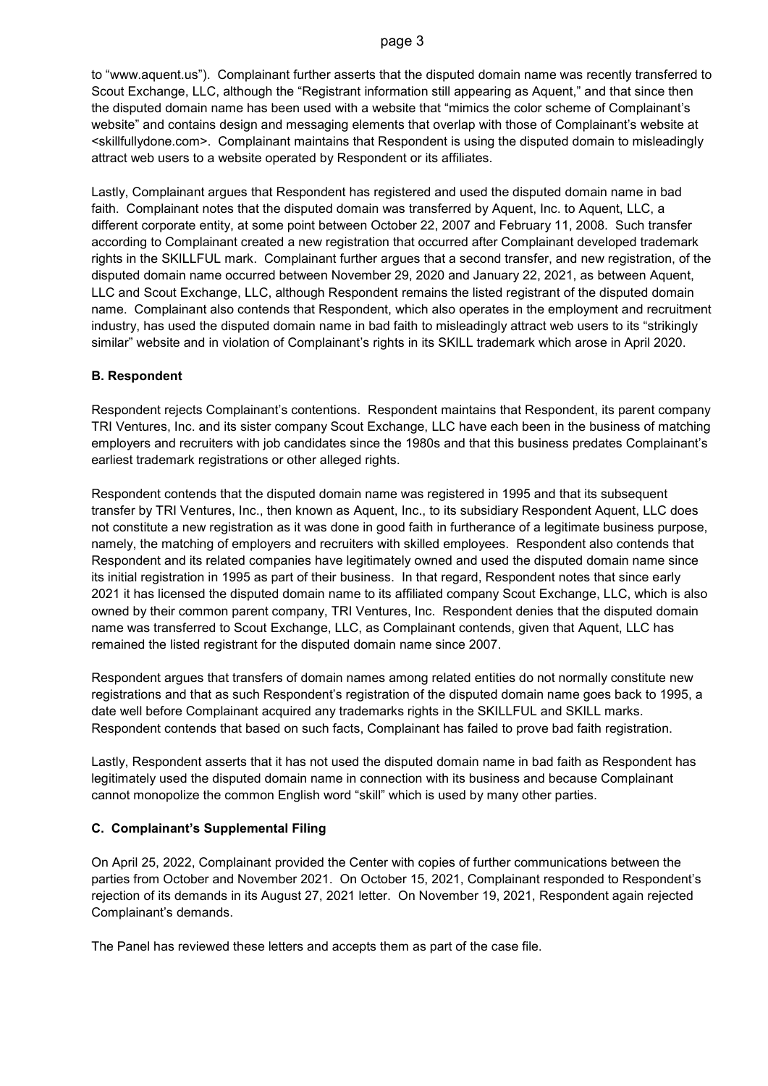#### page 3

to "www.aquent.us"). Complainant further asserts that the disputed domain name was recently transferred to Scout Exchange, LLC, although the "Registrant information still appearing as Aquent," and that since then the disputed domain name has been used with a website that "mimics the color scheme of Complainant's website" and contains design and messaging elements that overlap with those of Complainant's website at <skillfullydone.com>. Complainant maintains that Respondent is using the disputed domain to misleadingly attract web users to a website operated by Respondent or its affiliates.

Lastly, Complainant argues that Respondent has registered and used the disputed domain name in bad faith. Complainant notes that the disputed domain was transferred by Aquent, Inc. to Aquent, LLC, a different corporate entity, at some point between October 22, 2007 and February 11, 2008. Such transfer according to Complainant created a new registration that occurred after Complainant developed trademark rights in the SKILLFUL mark. Complainant further argues that a second transfer, and new registration, of the disputed domain name occurred between November 29, 2020 and January 22, 2021, as between Aquent, LLC and Scout Exchange, LLC, although Respondent remains the listed registrant of the disputed domain name. Complainant also contends that Respondent, which also operates in the employment and recruitment industry, has used the disputed domain name in bad faith to misleadingly attract web users to its "strikingly similar" website and in violation of Complainant's rights in its SKILL trademark which arose in April 2020.

## **B. Respondent**

Respondent rejects Complainant's contentions. Respondent maintains that Respondent, its parent company TRI Ventures, Inc. and its sister company Scout Exchange, LLC have each been in the business of matching employers and recruiters with job candidates since the 1980s and that this business predates Complainant's earliest trademark registrations or other alleged rights.

Respondent contends that the disputed domain name was registered in 1995 and that its subsequent transfer by TRI Ventures, Inc., then known as Aquent, Inc., to its subsidiary Respondent Aquent, LLC does not constitute a new registration as it was done in good faith in furtherance of a legitimate business purpose, namely, the matching of employers and recruiters with skilled employees. Respondent also contends that Respondent and its related companies have legitimately owned and used the disputed domain name since its initial registration in 1995 as part of their business. In that regard, Respondent notes that since early 2021 it has licensed the disputed domain name to its affiliated company Scout Exchange, LLC, which is also owned by their common parent company, TRI Ventures, Inc. Respondent denies that the disputed domain name was transferred to Scout Exchange, LLC, as Complainant contends, given that Aquent, LLC has remained the listed registrant for the disputed domain name since 2007.

Respondent argues that transfers of domain names among related entities do not normally constitute new registrations and that as such Respondent's registration of the disputed domain name goes back to 1995, a date well before Complainant acquired any trademarks rights in the SKILLFUL and SKILL marks. Respondent contends that based on such facts, Complainant has failed to prove bad faith registration.

Lastly, Respondent asserts that it has not used the disputed domain name in bad faith as Respondent has legitimately used the disputed domain name in connection with its business and because Complainant cannot monopolize the common English word "skill" which is used by many other parties.

# **C. Complainant's Supplemental Filing**

On April 25, 2022, Complainant provided the Center with copies of further communications between the parties from October and November 2021. On October 15, 2021, Complainant responded to Respondent's rejection of its demands in its August 27, 2021 letter. On November 19, 2021, Respondent again rejected Complainant's demands.

The Panel has reviewed these letters and accepts them as part of the case file.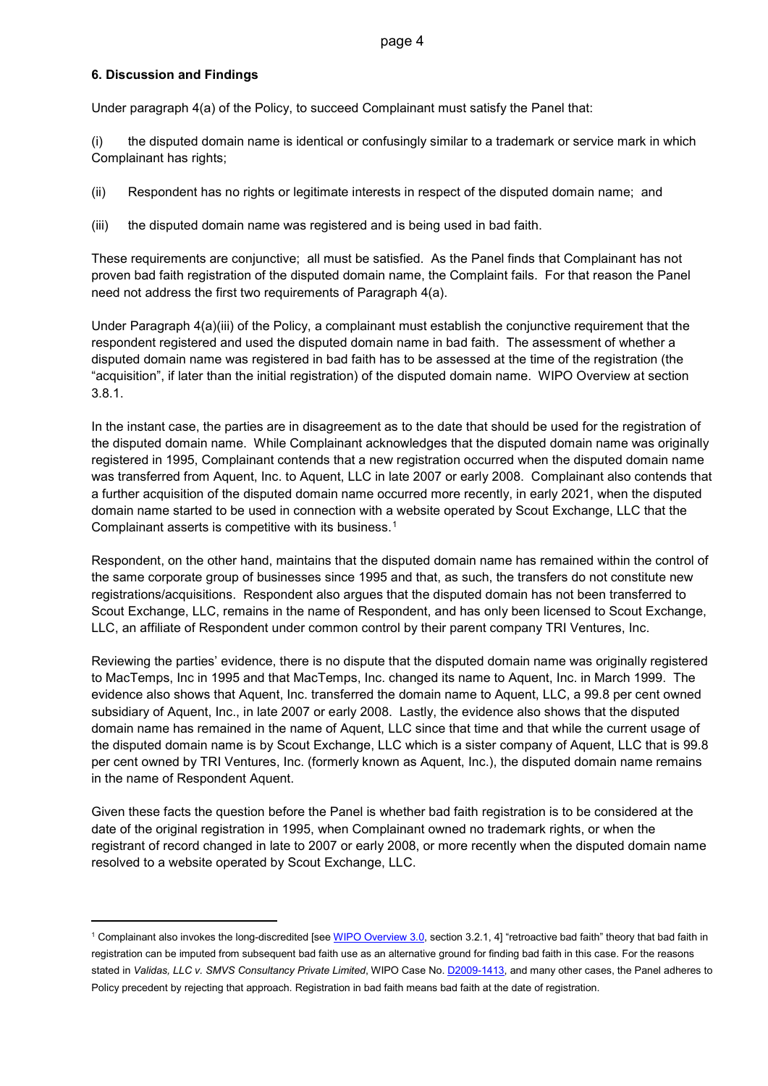## **6. Discussion and Findings**

Under paragraph 4(a) of the Policy, to succeed Complainant must satisfy the Panel that:

(i) the disputed domain name is identical or confusingly similar to a trademark or service mark in which Complainant has rights;

(ii) Respondent has no rights or legitimate interests in respect of the disputed domain name; and

(iii) the disputed domain name was registered and is being used in bad faith.

These requirements are conjunctive; all must be satisfied. As the Panel finds that Complainant has not proven bad faith registration of the disputed domain name, the Complaint fails. For that reason the Panel need not address the first two requirements of Paragraph 4(a).

Under Paragraph 4(a)(iii) of the Policy, a complainant must establish the conjunctive requirement that the respondent registered and used the disputed domain name in bad faith. The assessment of whether a disputed domain name was registered in bad faith has to be assessed at the time of the registration (the "acquisition", if later than the initial registration) of the disputed domain name. WIPO Overview at section 3.8.1.

In the instant case, the parties are in disagreement as to the date that should be used for the registration of the disputed domain name. While Complainant acknowledges that the disputed domain name was originally registered in 1995, Complainant contends that a new registration occurred when the disputed domain name was transferred from Aquent, Inc. to Aquent, LLC in late 2007 or early 2008. Complainant also contends that a further acquisition of the disputed domain name occurred more recently, in early 2021, when the disputed domain name started to be used in connection with a website operated by Scout Exchange, LLC that the Complainant asserts is competitive with its business.[1](#page-3-0)

Respondent, on the other hand, maintains that the disputed domain name has remained within the control of the same corporate group of businesses since 1995 and that, as such, the transfers do not constitute new registrations/acquisitions. Respondent also argues that the disputed domain has not been transferred to Scout Exchange, LLC, remains in the name of Respondent, and has only been licensed to Scout Exchange, LLC, an affiliate of Respondent under common control by their parent company TRI Ventures, Inc.

Reviewing the parties' evidence, there is no dispute that the disputed domain name was originally registered to MacTemps, Inc in 1995 and that MacTemps, Inc. changed its name to Aquent, Inc. in March 1999. The evidence also shows that Aquent, Inc. transferred the domain name to Aquent, LLC, a 99.8 per cent owned subsidiary of Aquent, Inc., in late 2007 or early 2008. Lastly, the evidence also shows that the disputed domain name has remained in the name of Aquent, LLC since that time and that while the current usage of the disputed domain name is by Scout Exchange, LLC which is a sister company of Aquent, LLC that is 99.8 per cent owned by TRI Ventures, Inc. (formerly known as Aquent, Inc.), the disputed domain name remains in the name of Respondent Aquent.

Given these facts the question before the Panel is whether bad faith registration is to be considered at the date of the original registration in 1995, when Complainant owned no trademark rights, or when the registrant of record changed in late to 2007 or early 2008, or more recently when the disputed domain name resolved to a website operated by Scout Exchange, LLC.

<span id="page-3-0"></span><sup>&</sup>lt;sup>1</sup> Complainant also invokes the long-discredited [se[e WIPO Overview 3.0,](https://www.wipo.int/amc/en/domains/search/overview3.0/) section 3.2.1, 4] "retroactive bad faith" theory that bad faith in registration can be imputed from subsequent bad faith use as an alternative ground for finding bad faith in this case. For the reasons stated in *Validas, LLC v. SMVS Consultancy Private Limited*, WIPO Case No. [D2009-1413,](https://www.wipo.int/amc/en/domains/decisions/html/2009/d2009-1413.html) and many other cases, the Panel adheres to Policy precedent by rejecting that approach. Registration in bad faith means bad faith at the date of registration.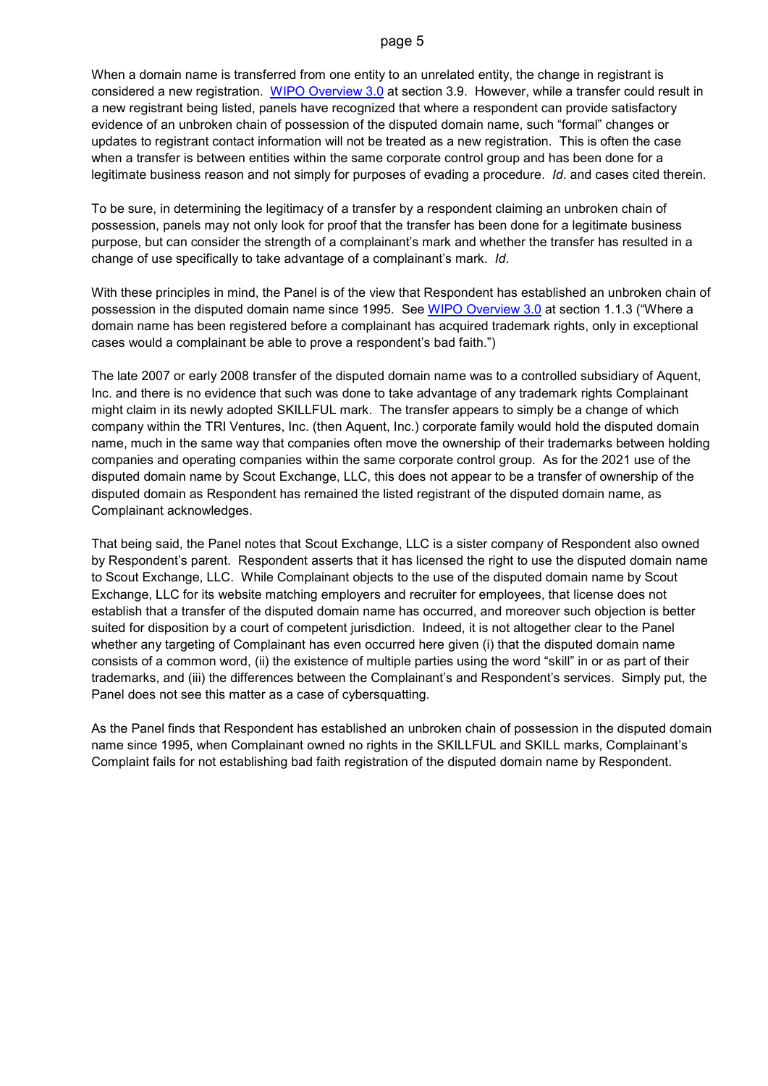#### page 5

When a domain name is transferred from one entity to an unrelated entity, the change in registrant is considered a new registration. [WIPO Overview 3.0](https://www.wipo.int/amc/en/domains/search/overview3.0/) at section 3.9. However, while a transfer could result in a new registrant being listed, panels have recognized that where a respondent can provide satisfactory evidence of an unbroken chain of possession of the disputed domain name, such "formal" changes or updates to registrant contact information will not be treated as a new registration. This is often the case when a transfer is between entities within the same corporate control group and has been done for a legitimate business reason and not simply for purposes of evading a procedure. *Id*. and cases cited therein.

To be sure, in determining the legitimacy of a transfer by a respondent claiming an unbroken chain of possession, panels may not only look for proof that the transfer has been done for a legitimate business purpose, but can consider the strength of a complainant's mark and whether the transfer has resulted in a change of use specifically to take advantage of a complainant's mark. *Id*.

With these principles in mind, the Panel is of the view that Respondent has established an unbroken chain of possession in the disputed domain name since 1995. See [WIPO Overview 3.0](https://www.wipo.int/amc/en/domains/search/overview3.0/) at section 1.1.3 ("Where a domain name has been registered before a complainant has acquired trademark rights, only in exceptional cases would a complainant be able to prove a respondent's bad faith.")

The late 2007 or early 2008 transfer of the disputed domain name was to a controlled subsidiary of Aquent, Inc. and there is no evidence that such was done to take advantage of any trademark rights Complainant might claim in its newly adopted SKILLFUL mark. The transfer appears to simply be a change of which company within the TRI Ventures, Inc. (then Aquent, Inc.) corporate family would hold the disputed domain name, much in the same way that companies often move the ownership of their trademarks between holding companies and operating companies within the same corporate control group. As for the 2021 use of the disputed domain name by Scout Exchange, LLC, this does not appear to be a transfer of ownership of the disputed domain as Respondent has remained the listed registrant of the disputed domain name, as Complainant acknowledges.

That being said, the Panel notes that Scout Exchange, LLC is a sister company of Respondent also owned by Respondent's parent. Respondent asserts that it has licensed the right to use the disputed domain name to Scout Exchange, LLC. While Complainant objects to the use of the disputed domain name by Scout Exchange, LLC for its website matching employers and recruiter for employees, that license does not establish that a transfer of the disputed domain name has occurred, and moreover such objection is better suited for disposition by a court of competent jurisdiction. Indeed, it is not altogether clear to the Panel whether any targeting of Complainant has even occurred here given (i) that the disputed domain name consists of a common word, (ii) the existence of multiple parties using the word "skill" in or as part of their trademarks, and (iii) the differences between the Complainant's and Respondent's services. Simply put, the Panel does not see this matter as a case of cybersquatting.

As the Panel finds that Respondent has established an unbroken chain of possession in the disputed domain name since 1995, when Complainant owned no rights in the SKILLFUL and SKILL marks, Complainant's Complaint fails for not establishing bad faith registration of the disputed domain name by Respondent.